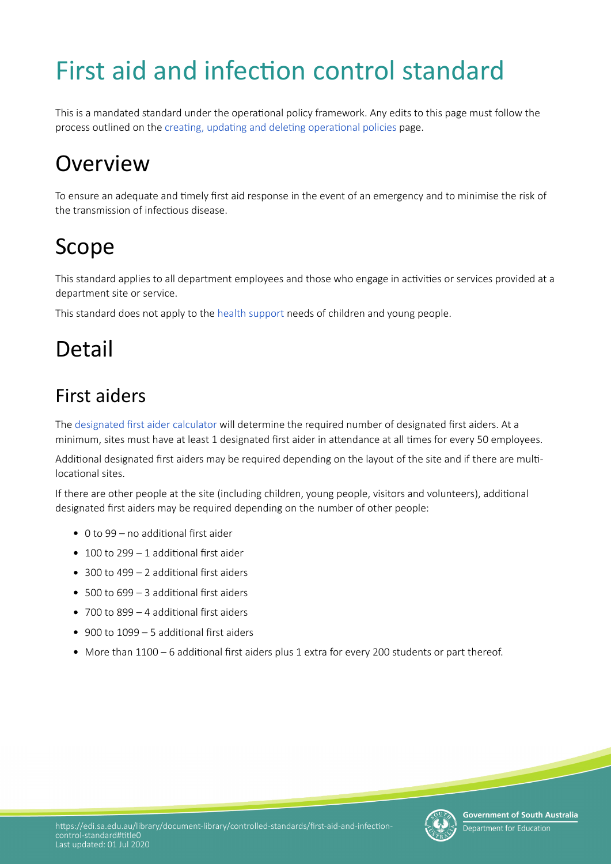# First aid and infection control standard

This is a mandated standard under the operational policy framework. Any edits to this page must follow the process outlined on the creating, updating and deleting operational policies page.

## **Overview**

To ensure an adequate and tmely frst aid response in the event of an emergency and to minimise the risk of the transmission of infectious disease.

## Scope

This standard applies to all department employees and those who engage in activities or services provided at a department site or service.

This standard does not apply to the [health support](https://edi.sa.edu.au/hr/for-managers/health-and-safety/creating-a-safe-workplace/complex-needs) needs of children and young people.

## Detail

### First aiders

The designated first aider calculator will determine the required number of designated first aiders. At a minimum, sites must have at least 1 designated frst aider in atendance at all tmes for every 50 employees.

Additional designated first aiders may be required depending on the layout of the site and if there are multilocational sites.

If there are other people at the site (including children, young people, visitors and volunteers), additonal designated frst aiders may be required depending on the number of other people:

- $\bullet$  0 to 99 no additional first aider
- $\bullet$  100 to 299 1 additional first aider
- $\bullet$  300 to 499 2 additional first aiders
- $\bullet$  500 to 699 3 additional first aiders
- $\bullet$  700 to 899 4 additional first aiders
- $\bullet$  900 to 1099 5 additional first aiders
- More than 1100 6 additional first aiders plus 1 extra for every 200 students or part thereof.

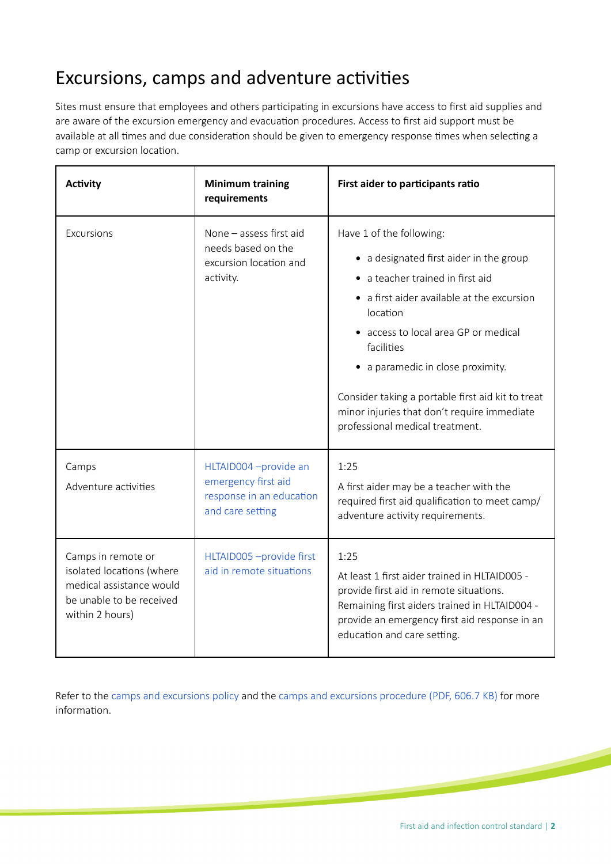### Excursions, camps and adventure activities

Sites must ensure that employees and others participating in excursions have access to first aid supplies and are aware of the excursion emergency and evacuation procedures. Access to first aid support must be available at all times and due consideration should be given to emergency response times when selecting a camp or excursion location.

| <b>Activity</b>                                                                                                            | <b>Minimum training</b><br>requirements                                                      | First aider to participants ratio                                                                                                                                                                                                                                                                                                                                                                   |
|----------------------------------------------------------------------------------------------------------------------------|----------------------------------------------------------------------------------------------|-----------------------------------------------------------------------------------------------------------------------------------------------------------------------------------------------------------------------------------------------------------------------------------------------------------------------------------------------------------------------------------------------------|
| Excursions                                                                                                                 | None - assess first aid<br>needs based on the<br>excursion location and<br>activity.         | Have 1 of the following:<br>• a designated first aider in the group<br>• a teacher trained in first aid<br>• a first aider available at the excursion<br>location<br>• access to local area GP or medical<br>facilities<br>• a paramedic in close proximity.<br>Consider taking a portable first aid kit to treat<br>minor injuries that don't require immediate<br>professional medical treatment. |
| Camps<br>Adventure activities                                                                                              | HLTAID004 -provide an<br>emergency first aid<br>response in an education<br>and care setting | 1:25<br>A first aider may be a teacher with the<br>required first aid qualification to meet camp/<br>adventure activity requirements.                                                                                                                                                                                                                                                               |
| Camps in remote or<br>isolated locations (where<br>medical assistance would<br>be unable to be received<br>within 2 hours) | HLTAID005 - provide first<br>aid in remote situations                                        | 1:25<br>At least 1 first aider trained in HLTAID005 -<br>provide first aid in remote situations.<br>Remaining first aiders trained in HLTAID004 -<br>provide an emergency first aid response in an<br>education and care setting.                                                                                                                                                                   |

Refer to the [camps and excursions policy](https://edi.sa.edu.au/library/document-library/controlled-policies/camps-and-excursions-policy) and the [camps and excursions procedure \(PDF, 606.7 KB\)](https://edi.sa.edu.au/library/document-library/controlled-procedures/camps-and-excursions-procedure.pdf) for more information.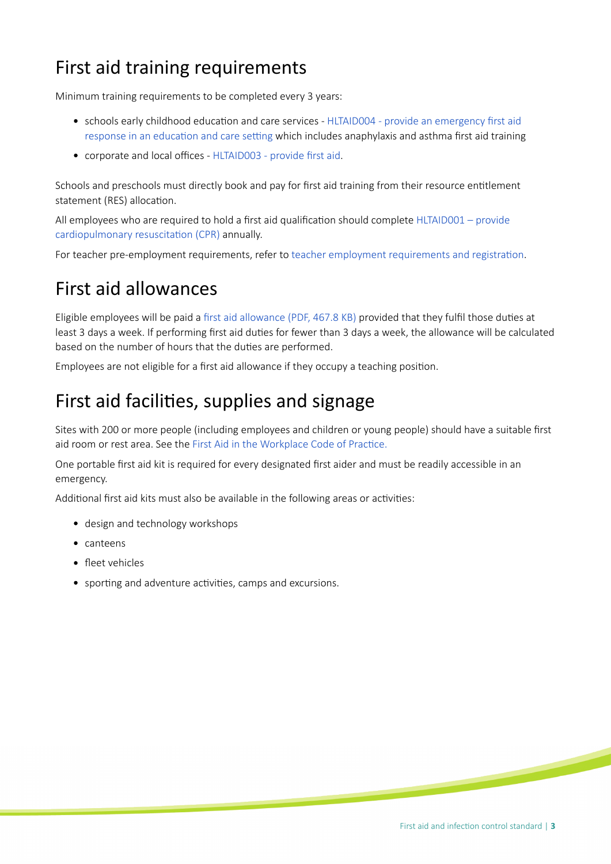### First aid training requirements

Minimum training requirements to be completed every 3 years:

- schools early childhood education and care services HLTAID004 provide an emergency first aid response in an education and care setting which includes anaphylaxis and asthma first aid training
- corporate and local offices HLTAID003 provide first aid.

Schools and preschools must directly book and pay for frst aid training from their resource enttlement statement (RES) allocation.

All employees who are required to hold a first aid qualification should complete HLTAID001 – provide cardiopulmonary resuscitation (CPR) annually.

For teacher pre-employment requirements, refer to [teacher employment requirements and registraton.](https://www.education.sa.gov.au/working-us/working-teacher/teacher-employment-requirements-and-registration)

### First aid allowances

Eligible employees will be paid a first aid allowance (PDF, 467.8 KB) provided that they fulfil those duties at least 3 days a week. If performing first aid duties for fewer than 3 days a week, the allowance will be calculated based on the number of hours that the duties are performed.

Employees are not eligible for a frst aid allowance if they occupy a teaching positon.

### First aid facilites, supplies and signage

Sites with 200 or more people (including employees and children or young people) should have a suitable frst aid room or rest area. See the First Aid in the Workplace Code of Practice.

One portable frst aid kit is required for every designated frst aider and must be readily accessible in an emergency.

Additional first aid kits must also be available in the following areas or activities:

- design and technology workshops
- canteens
- fleet vehicles
- sporting and adventure activities, camps and excursions.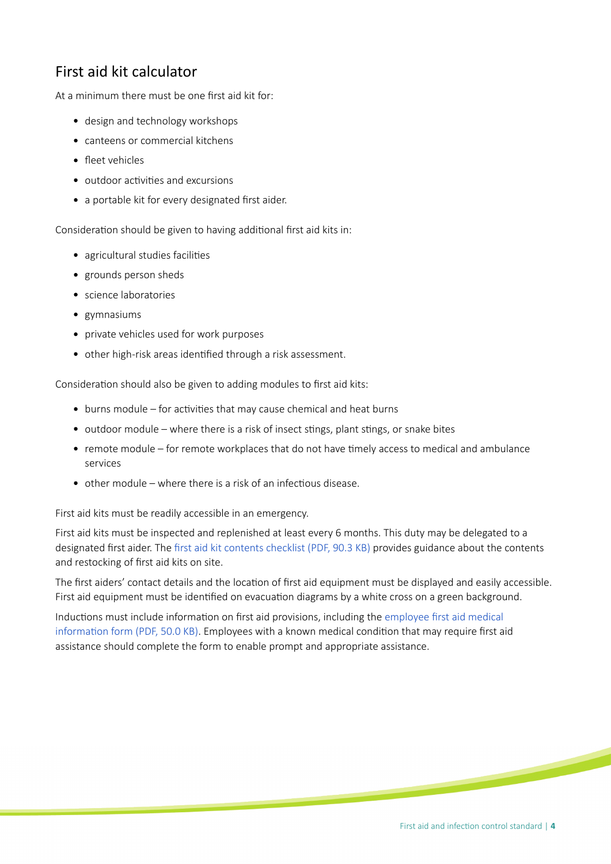#### First aid kit calculator

At a minimum there must be one frst aid kit for:

- design and technology workshops
- canteens or commercial kitchens
- fleet vehicles
- outdoor activities and excursions
- a portable kit for every designated first aider.

Consideration should be given to having additional first aid kits in:

- agricultural studies facilities
- grounds person sheds
- science laboratories
- gymnasiums
- private vehicles used for work purposes
- other high-risk areas identified through a risk assessment.

Consideration should also be given to adding modules to first aid kits:

- burns module for activities that may cause chemical and heat burns
- $\bullet$  outdoor module where there is a risk of insect stings, plant stings, or snake bites
- remote module for remote workplaces that do not have timely access to medical and ambulance services
- $\bullet$  other module where there is a risk of an infectious disease.

First aid kits must be readily accessible in an emergency.

First aid kits must be inspected and replenished at least every 6 months. This duty may be delegated to a designated frst aider. The [frst aid kit contents checklist \(PDF, 90.3 KB\)](https://edi.sa.edu.au/library/document-library/form/hr/health-and-safety/staff-wellbeing/first-aid-kit-contents-checklist.pdf) provides guidance about the contents and restocking of first aid kits on site.

The frst aiders' contact details and the locaton of frst aid equipment must be displayed and easily accessible. First aid equipment must be identified on evacuation diagrams by a white cross on a green background.

Inductions must include information on first aid provisions, including the employee first aid medical information form (PDF, 50.0 KB). Employees with a known medical condition that may require first aid assistance should complete the form to enable prompt and appropriate assistance.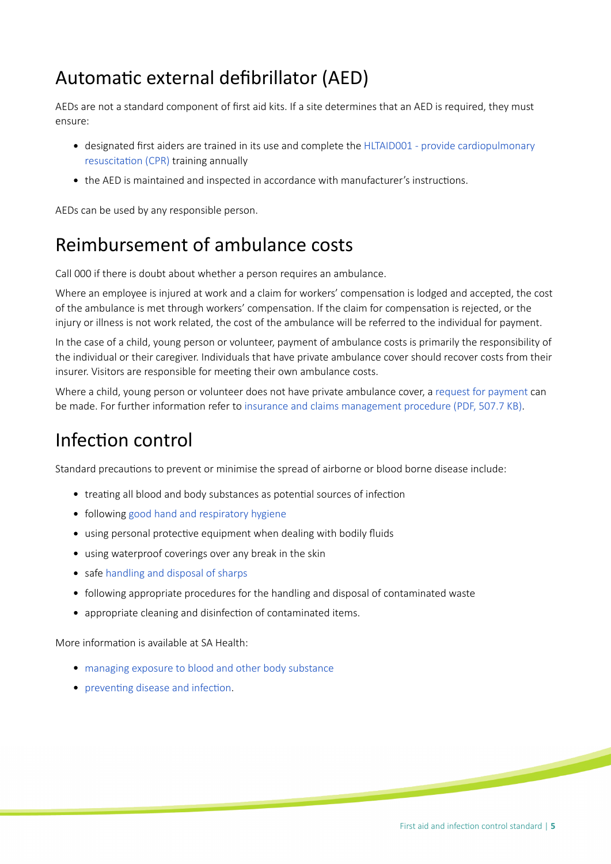### Automatic external defibrillator (AED)

AEDs are not a standard component of frst aid kits. If a site determines that an AED is required, they must ensure:

- designated frst aiders are trained in its use and complete the [HLTAID001 provide cardiopulmonary](https://training.gov.au/training/details/hltaid001)  [resuscitaton \(CPR\)](https://training.gov.au/training/details/hltaid001) training annually
- the AED is maintained and inspected in accordance with manufacturer's instructions.

AEDs can be used by any responsible person.

#### Reimbursement of ambulance costs

Call 000 if there is doubt about whether a person requires an ambulance.

Where an employee is injured at work and a claim for workers' compensation is lodged and accepted, the cost of the ambulance is met through workers' compensation. If the claim for compensation is rejected, or the injury or illness is not work related, the cost of the ambulance will be referred to the individual for payment.

In the case of a child, young person or volunteer, payment of ambulance costs is primarily the responsibility of the individual or their caregiver. Individuals that have private ambulance cover should recover costs from their insurer. Visitors are responsible for meeting their own ambulance costs.

Where a child, young person or volunteer does not have private ambulance cover, a [request for payment](https://sagov.iapply.com.au/#/form/5acf021aad9c5a1b705d708e) can be made. For further information refer to [insurance and claims management procedure \(PDF, 507.7 KB\).](https://edi.sa.edu.au/library/document-library/controlled-procedures/insurance-claims-management-procedure.pdf)

#### Infection control

Standard precautions to prevent or minimise the spread of airborne or blood borne disease include:

- treating all blood and body substances as potential sources of infection
- following [good hand and respiratory hygiene](http://www.sahealth.sa.gov.au/wps/wcm/connect/public+content/sa+health+internet/healthy+living/protecting+your+health/preventing+disease+and+infection/wash+wipe+cover)
- using personal protectve equipment when dealing with bodily fuids
- using waterproof coverings over any break in the skin
- safe [handling and disposal of sharps](http://www.sahealth.sa.gov.au/wps/wcm/connect/public+content/sa+health+internet/clinical+resources/clinical+topics/healthcare+associated+infections/prevention+and+management+of+infections+in+healthcare+settings/environmental+hygiene+in+healthcare)
- following appropriate procedures for the handling and disposal of contaminated waste
- appropriate cleaning and disinfection of contaminated items.

More information is available at SA Health:

- [managing exposure to blood and other body substance](http://www.sahealth.sa.gov.au/wps/wcm/connect/public+content/sa+health+internet/health+topics/health+conditions+prevention+and+treatment/infectious+diseases/handling+blood+and+other+body+substances)
- preventing disease and infection.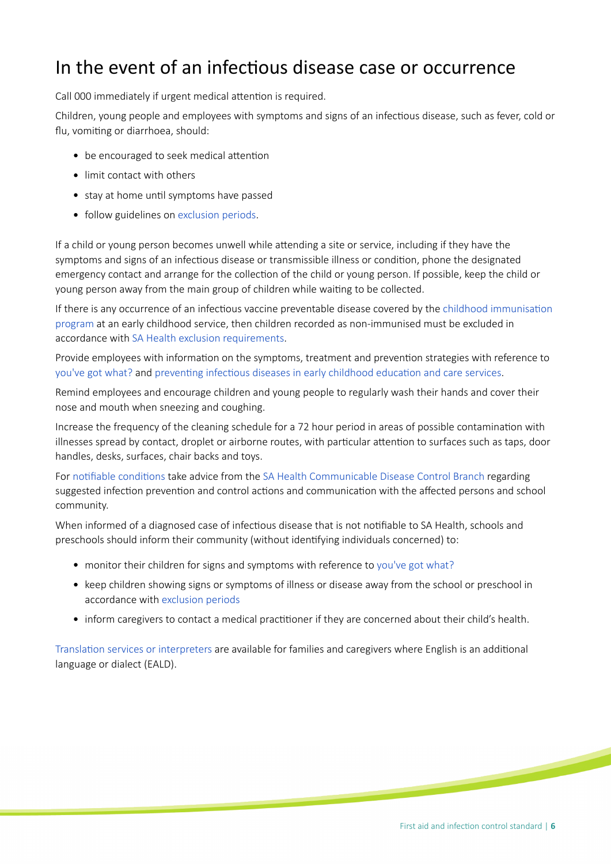### In the event of an infectious disease case or occurrence

Call 000 immediately if urgent medical attention is required.

Children, young people and employees with symptoms and signs of an infectous disease, such as fever, cold or flu, vomiting or diarrhoea, should:

- be encouraged to seek medical attention
- limit contact with others
- stay at home until symptoms have passed
- follow guidelines on [exclusion periods.](http://www.sahealth.sa.gov.au/wps/wcm/connect/public+content/sa+health+internet/health+topics/health+conditions+prevention+and+treatment/infectious+diseases/exclusion+from+childcare+preschool+school+and+work)

If a child or young person becomes unwell while atending a site or service, including if they have the symptoms and signs of an infectious disease or transmissible illness or condition, phone the designated emergency contact and arrange for the collection of the child or young person. If possible, keep the child or young person away from the main group of children while waitng to be collected.

If there is any occurrence of an infectious vaccine preventable disease covered by the childhood immunisation [program](https://beta.health.gov.au/health-topics/immunisation/immunisation-throughout-life/national-immunisation-program-schedule) at an early childhood service, then children recorded as non-immunised must be excluded in accordance with [SA Health exclusion requirements.](https://www.sahealth.sa.gov.au/wps/wcm/connect/public+content/sa+health+internet/health+topics/health+conditions+prevention+and+treatment/infectious+diseases/exclusion+from+childcare+preschool+school+and+work)

Provide employees with information on the symptoms, treatment and prevention strategies with reference to [you've got what?](http://www.sahealth.sa.gov.au/wps/wcm/connect/public+content/sa+health+internet/healthy+living/protecting+your+health/preventing+disease+and+infection/youve+got+what) and preventing infectious diseases in early childhood education and care services.

Remind employees and encourage children and young people to regularly wash their hands and cover their nose and mouth when sneezing and coughing.

Increase the frequency of the cleaning schedule for a 72 hour period in areas of possible contaminaton with illnesses spread by contact, droplet or airborne routes, with particular attention to surfaces such as taps, door handles, desks, surfaces, chair backs and toys.

For notifiable conditions take advice from the [SA Health Communicable Disease Control Branch](https://www.sahealth.sa.gov.au/wps/wcm/connect/public+content/sa+health+internet/about+us/department+of+health/public+health+and+clinical+systems/communicable+disease+control+branch) regarding suggested infection prevention and control actions and communication with the affected persons and school community.

When informed of a diagnosed case of infectious disease that is not notifiable to SA Health, schools and preschools should inform their community (without identfying individuals concerned) to:

- monitor their children for signs and symptoms with reference to [you've got what?](http://www.sahealth.sa.gov.au/wps/wcm/connect/public+content/sa+health+internet/healthy+living/protecting+your+health/preventing+disease+and+infection/youve+got+what)
- keep children showing signs or symptoms of illness or disease away from the school or preschool in accordance with [exclusion periods](http://www.sahealth.sa.gov.au/wps/wcm/connect/public+content/sa+health+internet/health+topics/health+conditions+prevention+and+treatment/infectious+diseases/exclusion+from+childcare+preschool+school+and+work)
- inform caregivers to contact a medical practitioner if they are concerned about their child's health.

Translation services or interpreters are available for families and caregivers where English is an additional language or dialect (EALD).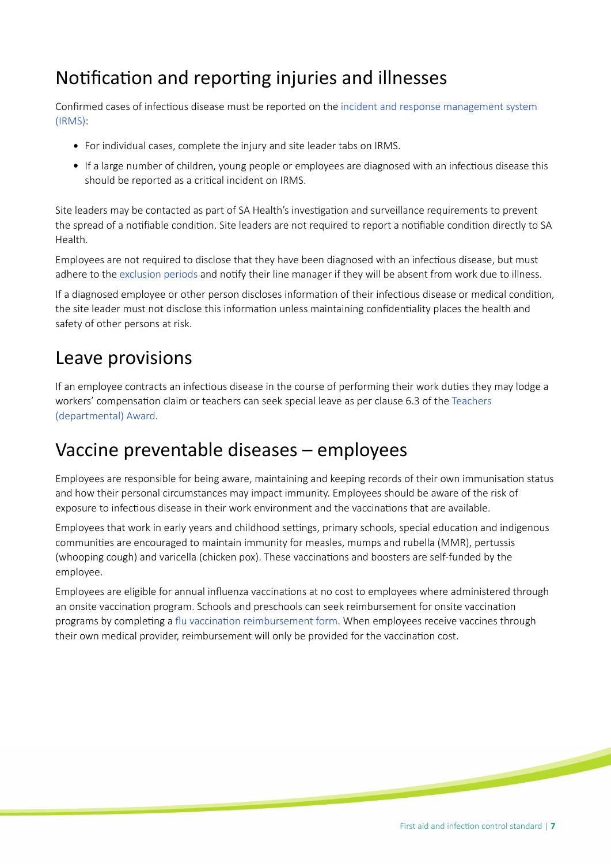### Notification and reporting injuries and illnesses

Confirmed cases of infectious disease must be reported on the incident and response management system [\(IRMS\)](https://edi.sa.edu.au/operations-and-management/emergency-management/irms):

- For individual cases, complete the injury and site leader tabs on IRMS.
- If a large number of children, young people or employees are diagnosed with an infectous disease this should be reported as a critical incident on IRMS.

Site leaders may be contacted as part of SA Health's investigation and surveillance requirements to prevent the spread of a notifiable condition. Site leaders are not required to report a notifiable condition directly to SA Health.

Employees are not required to disclose that they have been diagnosed with an infectious disease, but must adhere to the [exclusion periods](http://www.sahealth.sa.gov.au/wps/wcm/connect/public+content/sa+health+internet/health+topics/health+conditions+prevention+and+treatment/infectious+diseases/exclusion+from+childcare+preschool+school+and+work) and notify their line manager if they will be absent from work due to illness.

If a diagnosed employee or other person discloses information of their infectious disease or medical condition, the site leader must not disclose this information unless maintaining confidentiality places the health and safety of other persons at risk.

#### Leave provisions

If an employee contracts an infectious disease in the course of performing their work duties they may lodge a workers' compensaton claim or teachers can seek special leave as per clause 6.3 of the [Teachers](http://www.saet.sa.gov.au/app/uploads/2018/12/teachers-decs-award.pdf)  [\(departmental\) Award](http://www.saet.sa.gov.au/app/uploads/2018/12/teachers-decs-award.pdf).

#### Vaccine preventable diseases – employees

Employees are responsible for being aware, maintaining and keeping records of their own immunisaton status and how their personal circumstances may impact immunity. Employees should be aware of the risk of exposure to infectious disease in their work environment and the vaccinations that are available.

Employees that work in early years and childhood settings, primary schools, special education and indigenous communites are encouraged to maintain immunity for measles, mumps and rubella (MMR), pertussis (whooping cough) and varicella (chicken pox). These vaccinations and boosters are self-funded by the employee.

Employees are eligible for annual influenza vaccinations at no cost to employees where administered through an onsite vaccination program. Schools and preschools can seek reimbursement for onsite vaccination programs by completing a flu vaccination reimbursement form. When employees receive vaccines through their own medical provider, reimbursement will only be provided for the vaccinaton cost.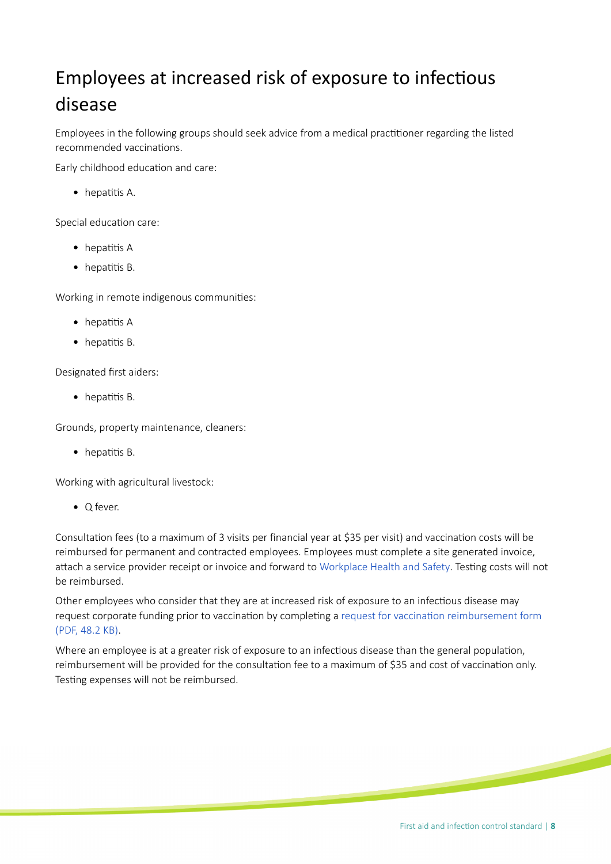## Employees at increased risk of exposure to infectious disease

Employees in the following groups should seek advice from a medical practtoner regarding the listed recommended vaccinations.

Early childhood education and care:

 $\bullet$  hepatitis A.

Special education care:

- $\bullet$  hepatitis A
- $\bullet$  hepatitis B.

Working in remote indigenous communites:

- $\bullet$  hepatitis A
- $\bullet$  hepatitis B.

Designated first aiders:

 $\bullet$  hepatitis B.

Grounds, property maintenance, cleaners:

 $\bullet$  hepatitis B.

Working with agricultural livestock:

• O fever.

Consultation fees (to a maximum of 3 visits per financial year at \$35 per visit) and vaccination costs will be reimbursed for permanent and contracted employees. Employees must complete a site generated invoice, atach a service provider receipt or invoice and forward to [Workplace Health and Safety.](mailto:Education.WHS@sa.gov.au) Testng costs will not be reimbursed.

Other employees who consider that they are at increased risk of exposure to an infectous disease may request corporate funding prior to vaccination by completing a request for vaccination reimbursement form [\(PDF, 48.2 KB\)](https://edi.sa.edu.au/library/document-library/form/hr/health-and-safety/staff-wellbeing/request-vaccination-reimbursement.pdf).

Where an employee is at a greater risk of exposure to an infectious disease than the general population, reimbursement will be provided for the consultaton fee to a maximum of \$35 and cost of vaccinaton only. Testng expenses will not be reimbursed.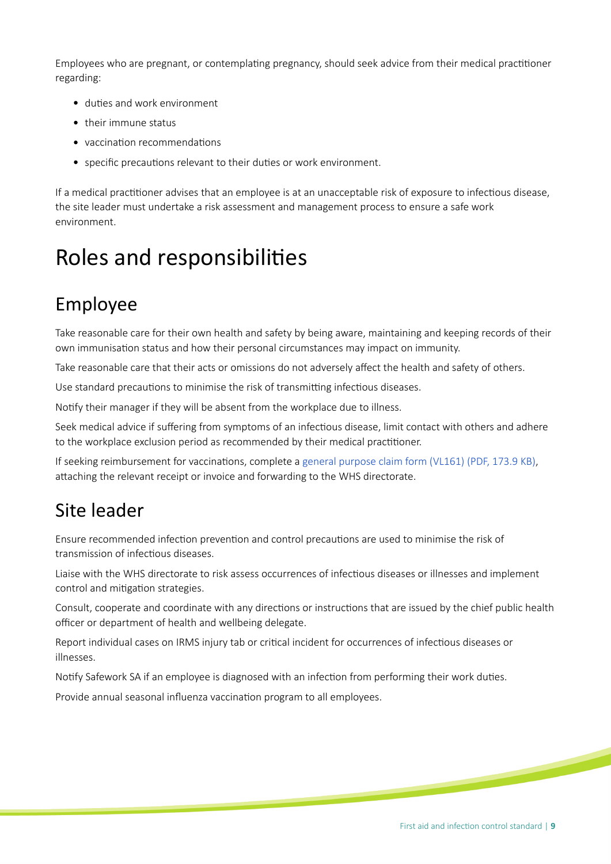Employees who are pregnant, or contemplating pregnancy, should seek advice from their medical practitioner regarding:

- duties and work environment
- their immune status
- vaccination recommendations
- specific precautions relevant to their duties or work environment.

If a medical practitioner advises that an employee is at an unacceptable risk of exposure to infectious disease, the site leader must undertake a risk assessment and management process to ensure a safe work environment.

## Roles and responsibilites

#### Employee

Take reasonable care for their own health and safety by being aware, maintaining and keeping records of their own immunisation status and how their personal circumstances may impact on immunity.

Take reasonable care that their acts or omissions do not adversely afect the health and safety of others.

Use standard precautions to minimise the risk of transmitting infectious diseases.

Notfy their manager if they will be absent from the workplace due to illness.

Seek medical advice if sufering from symptoms of an infectous disease, limit contact with others and adhere to the workplace exclusion period as recommended by their medical practitioner.

If seeking reimbursement for vaccinations, complete a [general purpose claim form \(VL161\) \(PDF, 173.9 KB\),](https://edi.sa.edu.au/library/document-library/form/finance/corporate-finance/general-purpose-claim-form.pdf) ataching the relevant receipt or invoice and forwarding to the WHS directorate.

#### Site leader

Ensure recommended infection prevention and control precautions are used to minimise the risk of transmission of infectious diseases.

Liaise with the WHS directorate to risk assess occurrences of infectous diseases or illnesses and implement control and mitigation strategies.

Consult, cooperate and coordinate with any directions or instructions that are issued by the chief public health officer or department of health and wellbeing delegate.

Report individual cases on IRMS injury tab or critcal incident for occurrences of infectous diseases or illnesses.

Notify Safework SA if an employee is diagnosed with an infection from performing their work duties.

Provide annual seasonal influenza vaccination program to all employees.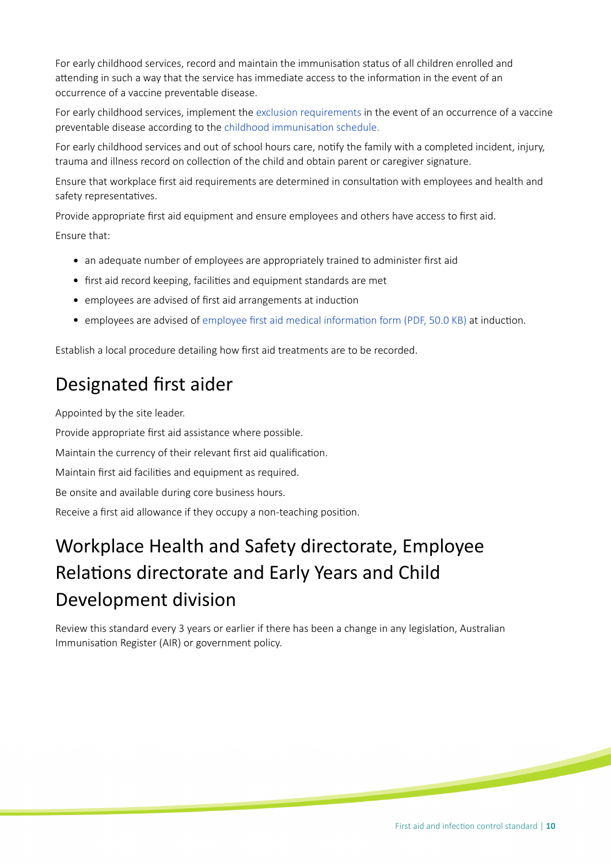For early childhood services, record and maintain the immunisation status of all children enrolled and attending in such a way that the service has immediate access to the information in the event of an occurrence of a vaccine preventable disease.

For early childhood services, implement the [exclusion requirements](#infectiousevent) in the event of an occurrence of a vaccine preventable disease according to the childhood immunisation schedule.

For early childhood services and out of school hours care, notfy the family with a completed incident, injury, trauma and illness record on collection of the child and obtain parent or caregiver signature.

Ensure that workplace first aid requirements are determined in consultation with employees and health and safety representatives.

Provide appropriate frst aid equipment and ensure employees and others have access to frst aid.

Ensure that:

- an adequate number of employees are appropriately trained to administer first aid
- first aid record keeping, facilities and equipment standards are met
- employees are advised of first aid arrangements at induction
- employees are advised of employee first aid medical information form (PDF, 50.0 KB) at induction.

Establish a local procedure detailing how frst aid treatments are to be recorded.

### Designated first aider

Appointed by the site leader.

Provide appropriate frst aid assistance where possible.

Maintain the currency of their relevant frst aid qualifcaton.

Maintain frst aid facilites and equipment as required.

Be onsite and available during core business hours.

Receive a frst aid allowance if they occupy a non-teaching positon.

### Workplace Health and Safety directorate, Employee Relations directorate and Early Years and Child Development division

Review this standard every 3 years or earlier if there has been a change in any legislation, Australian Immunisation Register (AIR) or government policy.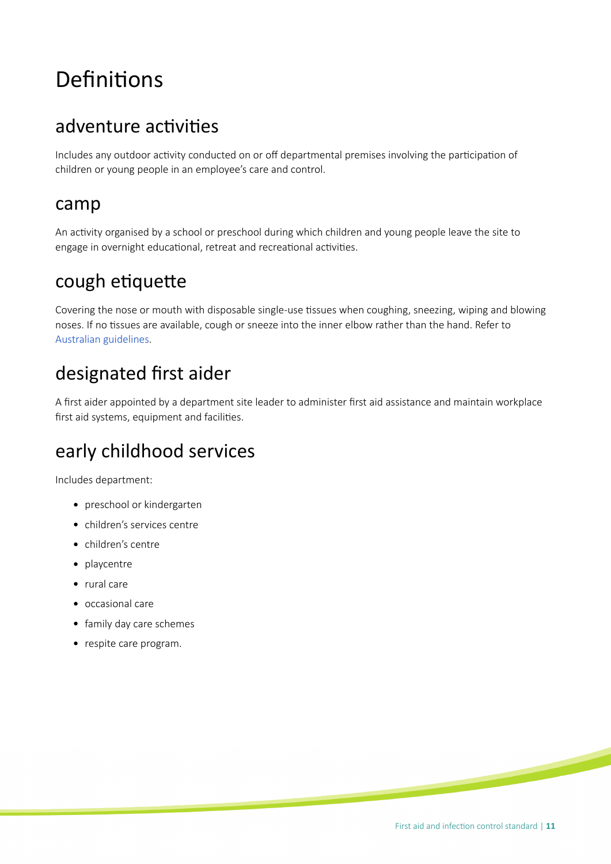## Definitions

### adventure activities

Includes any outdoor activity conducted on or off departmental premises involving the participation of children or young people in an employee's care and control.

#### camp

An activity organised by a school or preschool during which children and young people leave the site to engage in overnight educational, retreat and recreational activities.

#### cough etiquette

Covering the nose or mouth with disposable single-use tissues when coughing, sneezing, wiping and blowing noses. If no tissues are available, cough or sneeze into the inner elbow rather than the hand. Refer to [Australian guidelines](https://www.sahealth.sa.gov.au/wps/wcm/connect/440ce9004ff8e4298458bf4826472d56/wwc-QA-cough-etiquette-phcs-ics-20071210.pdf?MOD=AJPERES&CACHEID=440ce9004ff8e4298458bf4826472d56).

### designated first aider

A frst aider appointed by a department site leader to administer frst aid assistance and maintain workplace frst aid systems, equipment and facilites.

### early childhood services

Includes department:

- preschool or kindergarten
- children's services centre
- children's centre
- playcentre
- rural care
- occasional care
- family day care schemes
- respite care program.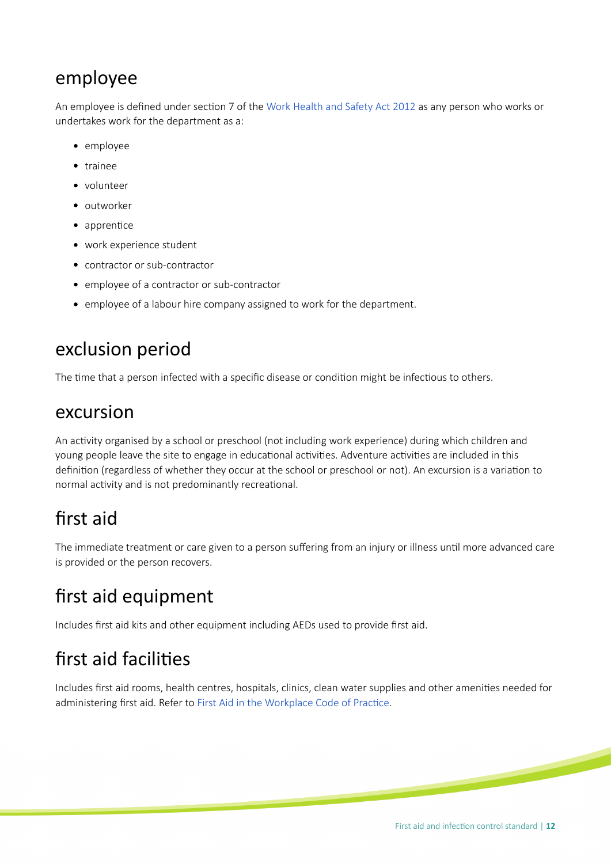#### employee

An employee is defined under section 7 of the [Work Health and Safety Act 2012](https://www.legislation.sa.gov.au/LZ/C/A/WORK%20HEALTH%20AND%20SAFETY%20ACT%202012.aspx) as any person who works or undertakes work for the department as a:

- employee
- trainee
- volunteer
- outworker
- $\bullet$  apprentice
- work experience student
- contractor or sub-contractor
- employee of a contractor or sub-contractor
- employee of a labour hire company assigned to work for the department.

#### exclusion period

The time that a person infected with a specific disease or condition might be infectious to others.

#### excursion

An activity organised by a school or preschool (not including work experience) during which children and young people leave the site to engage in educational activities. Adventure activities are included in this definition (regardless of whether they occur at the school or preschool or not). An excursion is a variation to normal activity and is not predominantly recreational.

### first aid

The immediate treatment or care given to a person suffering from an injury or illness until more advanced care is provided or the person recovers.

### frst aid equipment

Includes frst aid kits and other equipment including AEDs used to provide frst aid.

### first aid facilities

Includes frst aid rooms, health centres, hospitals, clinics, clean water supplies and other amenites needed for administering first aid. Refer to First Aid in the Workplace Code of Practice.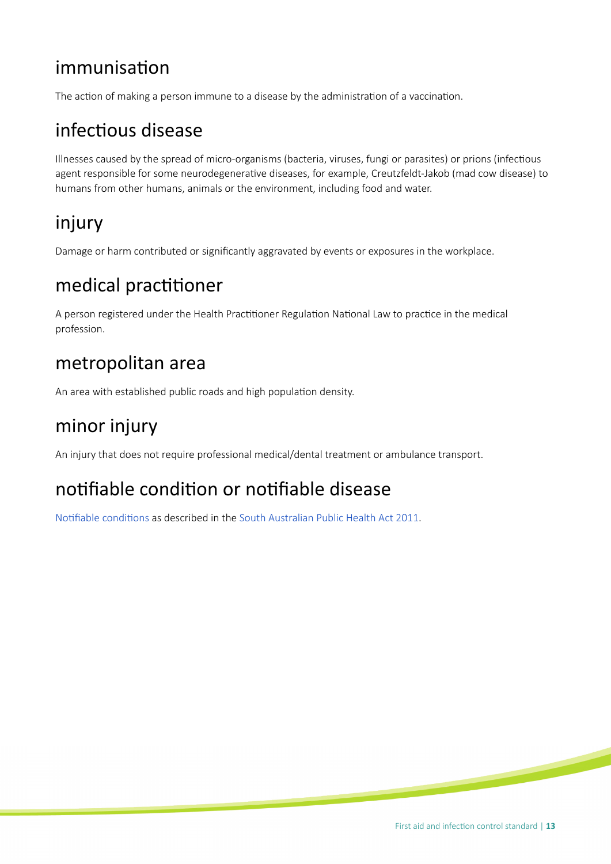### immunisation

The action of making a person immune to a disease by the administration of a vaccination.

### infectious disease

Illnesses caused by the spread of micro-organisms (bacteria, viruses, fungi or parasites) or prions (infectous agent responsible for some neurodegenerative diseases, for example, Creutzfeldt-Jakob (mad cow disease) to humans from other humans, animals or the environment, including food and water.

### injury

Damage or harm contributed or signifcantly aggravated by events or exposures in the workplace.

### medical practitioner

A person registered under the Health Practitioner Regulation National Law to practice in the medical profession.

#### metropolitan area

An area with established public roads and high population density.

### minor injury

An injury that does not require professional medical/dental treatment or ambulance transport.

#### notifiable condition or notifiable disease

[Notfable conditons](http://www.sahealth.sa.gov.au/wps/wcm/connect/1eb011804cacb284af2abfa496684d9f/CDCB%2B17.02.16%2BPgs2-3_v1.pdf?MOD=AJPERES&CACHE=NONE&CONTENTCACHE=NONE) as described in the [South Australian Public Health Act 2011](https://www.legislation.sa.gov.au/LZ/C/A/SOUTH%20AUSTRALIAN%20PUBLIC%20HEALTH%20ACT%202011.aspx).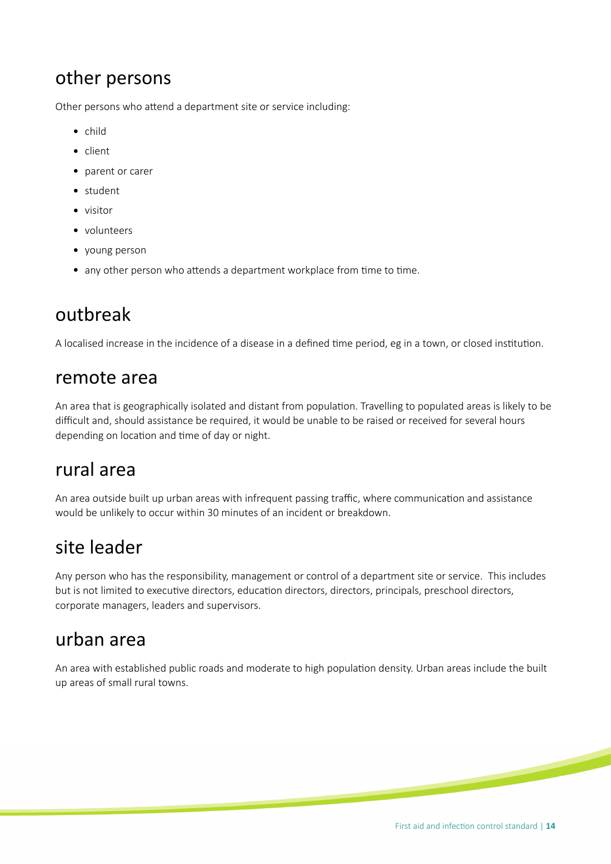### other persons

Other persons who attend a department site or service including:

- child
- client
- parent or carer
- student
- visitor
- volunteers
- young person
- any other person who attends a department workplace from time to time.

#### outbreak

A localised increase in the incidence of a disease in a defned tme period, eg in a town, or closed insttuton.

#### remote area

An area that is geographically isolated and distant from populaton. Travelling to populated areas is likely to be difficult and, should assistance be required, it would be unable to be raised or received for several hours depending on location and time of day or night.

#### rural area

An area outside built up urban areas with infrequent passing traffic, where communication and assistance would be unlikely to occur within 30 minutes of an incident or breakdown.

#### site leader

Any person who has the responsibility, management or control of a department site or service. This includes but is not limited to executive directors, education directors, directors, principals, preschool directors, corporate managers, leaders and supervisors.

#### urban area

An area with established public roads and moderate to high population density. Urban areas include the built up areas of small rural towns.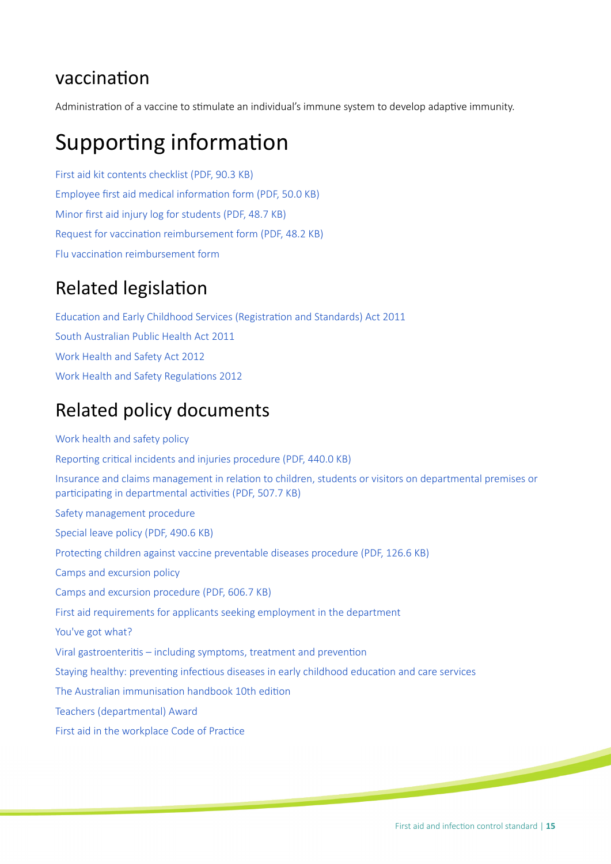#### vaccinaton

Administration of a vaccine to stimulate an individual's immune system to develop adaptive immunity.

## Supporting information

[First aid kit contents checklist \(PDF, 90.3 KB\)](https://edi.sa.edu.au/library/document-library/form/hr/health-and-safety/staff-wellbeing/first-aid-kit-contents-checklist.pdf) Employee first aid medical information form (PDF, 50.0 KB) Minor first aid injury log for students (PDF, 48.7 KB) [Request for vaccinaton reimbursement form \(PDF, 48.2 KB\)](https://edi.sa.edu.au/library/document-library/form/hr/health-and-safety/staff-wellbeing/request-vaccination-reimbursement.pdf) [Flu vaccinaton reimbursement form](https://searchadmin.learnlink.sa.edu.au/s/redirect?collection=edi-combined&url=https%3A%2F%2Fedi.sa.edu.au%2Flibrary%2Fdocument-library%2Fprocedure%2Fhr%2Fhealth-and-safety%2Fhazards%2Fattachment-g-flu-vaccination-reimbursement-form.docx&auth=aO0X%2FYhoEGxI6eiC8Ow0Uw&profile=_default&rank=2&query=Flu+vaccination+reimbursement+form)

### Related legislation

Education and Early Childhood Services (Registration and Standards) Act 2011 [South Australian Public Health Act 2011](https://www.legislation.sa.gov.au/LZ/C/A/SOUTH%20AUSTRALIAN%20PUBLIC%20HEALTH%20ACT%202011.aspx) [Work Health and Safety Act 2012](https://www.legislation.sa.gov.au/LZ/C/A/WORK%20HEALTH%20AND%20SAFETY%20ACT%202012.aspx) Work Health and Safety Regulations 2012

### Related policy documents

[Work health and safety policy](https://edi.sa.edu.au/library/document-library/controlled-policies/work-health-and-safety-policy) Reporting critical incidents and injuries procedure (PDF, 440.0 KB) Insurance and claims management in relation to children, students or visitors on departmental premises or participating in departmental activities (PDF, 507.7 KB) [Safety management procedure](https://edi.sa.edu.au/library/document-library/controlled-procedures/safety-management-procedure) [Special leave policy \(PDF, 490.6 KB\)](https://edi.sa.edu.au/library/document-library/controlled-policies/special-leave-policy.pdf) Protecting children against vaccine preventable diseases procedure (PDF, 126.6 KB) [Camps and excursion policy](https://edi.sa.edu.au/library/document-library/controlled-policies/camps-and-excursions-policy) [Camps and excursion procedure \(PDF, 606.7 KB\)](https://edi.sa.edu.au/library/document-library/controlled-procedures/camps-and-excursions-procedure.pdf) [First aid requirements for applicants seeking employment in the department](https://www.education.sa.gov.au/working-us/working-teacher/first-aid-requirements-temporary-employment-government-schools-and-preschools) [You've got what?](http://www.sahealth.sa.gov.au/wps/wcm/connect/Public+Content/SA+Health+Internet/Healthy+living/Protecting+your+health/preventing+disease+and+infection/Youve+got+what) [Viral gastroenterits – including symptoms, treatment and preventon](https://www.sahealth.sa.gov.au/wps/wcm/connect/public%20content/sa%20health%20internet/health%20topics/health%20conditions%20prevention%20and%20treatment/infectious%20diseases/viral%20gastroenteritis/viral%20gastroenteritis%20-%20including%20symptoms%20treatment%20and%20prevention) Staying healthy: preventing infectious diseases in early childhood education and care services The Australian immunisation handbook 10th edition [Teachers \(departmental\) Award](http://www.saet.sa.gov.au/app/uploads/2018/12/teachers-decs-award.pdf) First aid in the workplace Code of Practice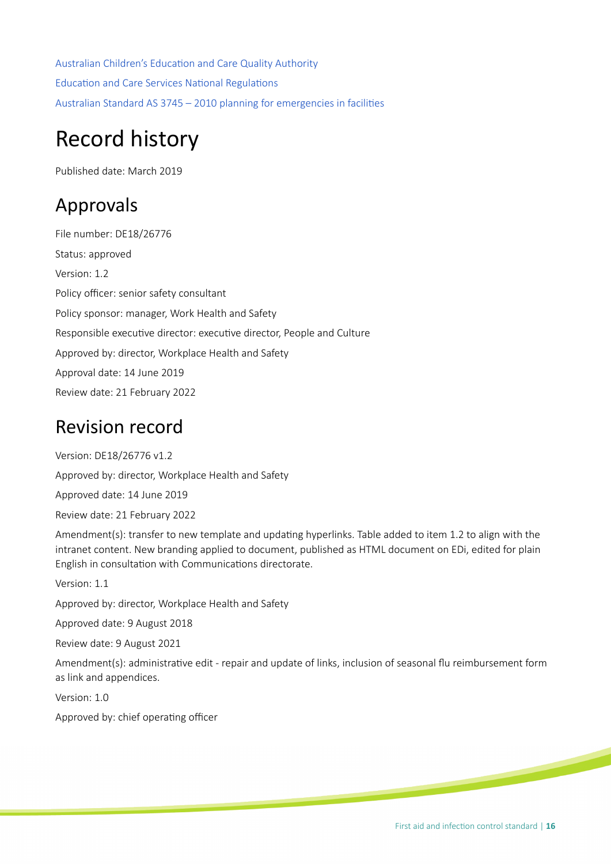Australian Children's Education and Care Quality Authority Education and Care Services National Regulations [Australian Standard AS 3745 – 2010 planning for emergencies in facilites](https://ablis.business.gov.au/service/wa/australian-standard-as-3745-2010-planning-for-emergencies-in-facilities/29668)

## Record history

Published date: March 2019

### Approvals

File number: DE18/26776 Status: approved Version: 1.2 Policy officer: senior safety consultant Policy sponsor: manager, Work Health and Safety Responsible executive director: executive director, People and Culture Approved by: director, Workplace Health and Safety Approval date: 14 June 2019 Review date: 21 February 2022

### Revision record

Version: DE18/26776 v1.2

Approved by: director, Workplace Health and Safety

Approved date: 14 June 2019

Review date: 21 February 2022

Amendment(s): transfer to new template and updating hyperlinks. Table added to item 1.2 to align with the intranet content. New branding applied to document, published as HTML document on EDi, edited for plain English in consultation with Communications directorate.

Version: 1.1

Approved by: director, Workplace Health and Safety

Approved date: 9 August 2018

Review date: 9 August 2021

 Amendment(s): administratve edit - repair and update of links, inclusion of seasonal fu reimbursement form as link and appendices.

Version: 1.0

Approved by: chief operating officer